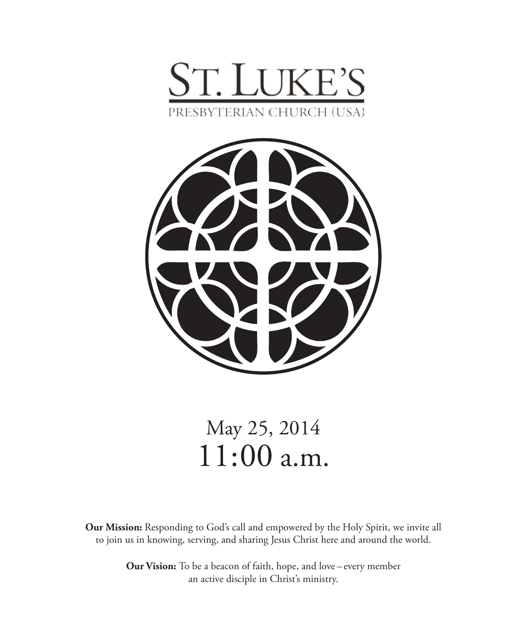



# May 25, 2014 11:00 a.m.

**Our Mission:** Responding to God's call and empowered by the Holy Spirit, we invite all to join us in knowing, serving, and sharing Jesus Christ here and around the world.

> **Our Vision:** To be a beacon of faith, hope, and love – every member an active disciple in Christ's ministry.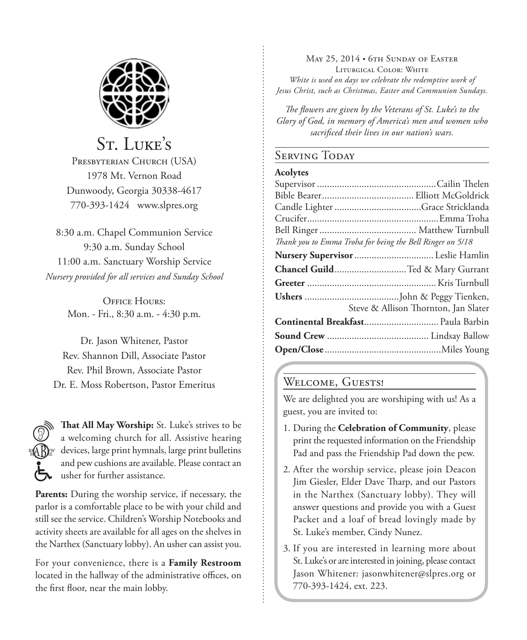

St. LUKE'S Presbyterian Church (USA) 1978 Mt. Vernon Road Dunwoody, Georgia 30338-4617 770-393-1424 www.slpres.org

8:30 a.m. Chapel Communion Service 9:30 a.m. Sunday School 11:00 a.m. Sanctuary Worship Service *Nursery provided for all services and Sunday School*

> OFFICE HOURS' Mon. - Fri., 8:30 a.m. - 4:30 p.m.

Dr. Jason Whitener, Pastor Rev. Shannon Dill, Associate Pastor Rev. Phil Brown, Associate Pastor Dr. E. Moss Robertson, Pastor Emeritus



**That All May Worship:** St. Luke's strives to be a welcoming church for all. Assistive hearing devices, large print hymnals, large print bulletins and pew cushions are available. Please contact an usher for further assistance.

**Parents:** During the worship service, if necessary, the parlor is a comfortable place to be with your child and still see the service. Children's Worship Notebooks and activity sheets are available for all ages on the shelves in the Narthex (Sanctuary lobby). An usher can assist you.

For your convenience, there is a **Family Restroom** located in the hallway of the administrative offices, on the first floor, near the main lobby.

May 25, 2014 • 6th Sunday of Easter Liturgical Color: White *White is used on days we celebrate the redemptive work of Jesus Christ, such as Christmas, Easter and Communion Sundays.* 

*The flowers are given by the Veterans of St. Luke's to the Glory of God, in memory of America's men and women who sacrificed their lives in our nation's wars.*

#### **SERVING TODAY**

#### **Acolytes**

| Thank you to Emma Troha for being the Bell Ringer on 5/18 |
|-----------------------------------------------------------|
|                                                           |
| Chancel GuildTed & Mary Gurrant                           |
|                                                           |
|                                                           |
| Steve & Allison Thornton, Jan Slater                      |
| Continental Breakfast Paula Barbin                        |
|                                                           |
|                                                           |

#### WELCOME, GUESTS!

We are delighted you are worshiping with us! As a guest, you are invited to:

- 1. During the **Celebration of Community**, please print the requested information on the Friendship Pad and pass the Friendship Pad down the pew.
- 2. After the worship service, please join Deacon Jim Giesler, Elder Dave Tharp, and our Pastors in the Narthex (Sanctuary lobby). They will answer questions and provide you with a Guest Packet and a loaf of bread lovingly made by St. Luke's member, Cindy Nunez.
- 3. If you are interested in learning more about St. Luke's or are interested in joining, please contact Jason Whitener: jasonwhitener@slpres.org or 770-393-1424, ext. 223.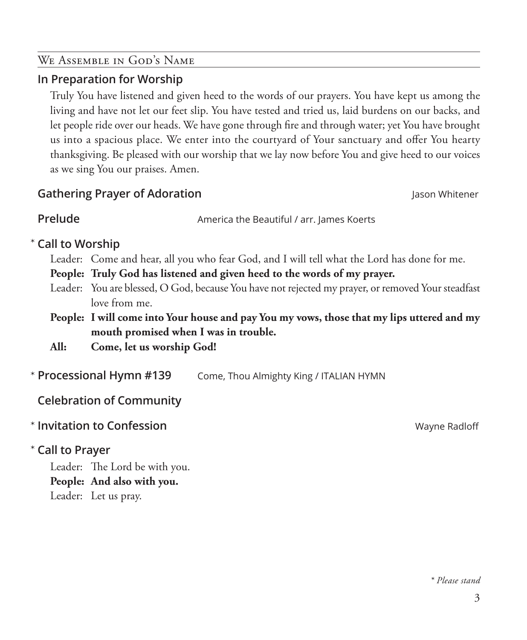#### We Assemble in God's Name

### **In Preparation for Worship**

 Truly You have listened and given heed to the words of our prayers. You have kept us among the living and have not let our feet slip. You have tested and tried us, laid burdens on our backs, and let people ride over our heads. We have gone through fire and through water; yet You have brought us into a spacious place. We enter into the courtyard of Your sanctuary and offer You hearty thanksgiving. Be pleased with our worship that we lay now before You and give heed to our voices as we sing You our praises. Amen.

### **Gathering Prayer of Adoration** Jason Whitener

**Prelude America the Beautiful / arr. lames Koerts** 

# **Call to Worship**  \*

Leader: Come and hear, all you who fear God, and I will tell what the Lord has done for me.

**People: Truly God has listened and given heed to the words of my prayer.**

- Leader: You are blessed, O God, because You have not rejected my prayer, or removed Your steadfast love from me.
- **People: I will come into Your house and pay You my vows, those that my lips uttered and my mouth promised when I was in trouble.**
- **All: Come, let us worship God!**
- Come, Thou Almighty King / ITALIAN HYMN \* Processional Hymn #139

**Celebration of Community**

**Invitation to Confession Confession Confession Confession Confession Confession Confession Confession** 

# **Call to Prayer**  \*

Leader: The Lord be with you. **People: And also with you.** Leader: Let us pray.

*\* Please stand*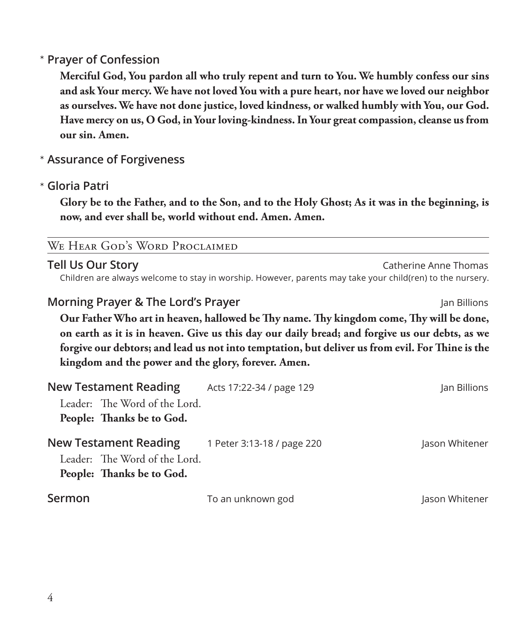# **Prayer of Confession**  \*

 **Merciful God, You pardon all who truly repent and turn to You. We humbly confess our sins and ask Your mercy. We have not loved You with a pure heart, nor have we loved our neighbor as ourselves. We have not done justice, loved kindness, or walked humbly with You, our God. Have mercy on us, O God, in Your loving-kindness. In Your great compassion, cleanse us from our sin. Amen.**

# **Assurance of Forgiveness** \*

# **Gloria Patri** \*

 **Glory be to the Father, and to the Son, and to the Holy Ghost; As it was in the beginning, is now, and ever shall be, world without end. Amen. Amen.**

#### We Hear God's Word Proclaimed

#### **Tell Us Our Story** Catherine Anne Thomas Catherine Anne Thomas

Children are always welcome to stay in worship. However, parents may take your child(ren) to the nursery.

### **Morning Prayer & The Lord's Prayer Morning Prayer** Jan Billions

 **Our Father Who art in heaven, hallowed be Thy name. Thy kingdom come, Thy will be done, on earth as it is in heaven. Give us this day our daily bread; and forgive us our debts, as we forgive our debtors; and lead us not into temptation, but deliver us from evil. For Thine is the kingdom and the power and the glory, forever. Amen.**

|        | <b>New Testament Reading</b>                                                               | Acts 17:22-34 / page 129   | Jan Billions   |
|--------|--------------------------------------------------------------------------------------------|----------------------------|----------------|
|        | Leader: The Word of the Lord.<br>People: Thanks be to God.                                 |                            |                |
|        | <b>New Testament Reading</b><br>Leader: The Word of the Lord.<br>People: Thanks be to God. | 1 Peter 3:13-18 / page 220 | Jason Whitener |
| Sermon |                                                                                            | To an unknown god          | Jason Whitener |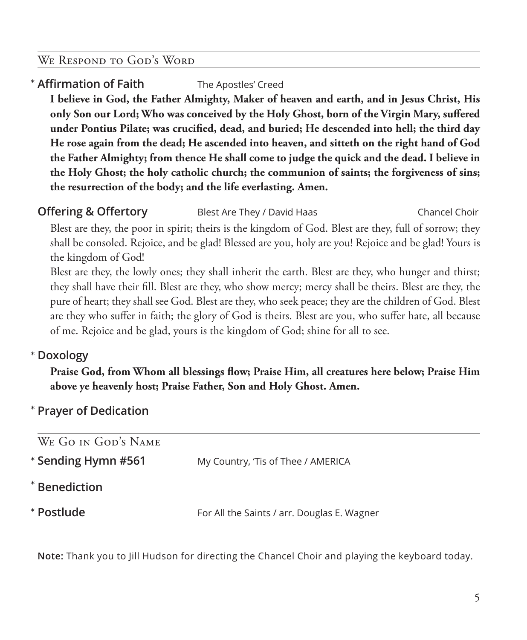#### We Respond to God's Word

# **Affirmation of Faith** The Apostles' Creed \*

 **I believe in God, the Father Almighty, Maker of heaven and earth, and in Jesus Christ, His only Son our Lord; Who was conceived by the Holy Ghost, born of the Virgin Mary, suffered under Pontius Pilate; was crucified, dead, and buried; He descended into hell; the third day He rose again from the dead; He ascended into heaven, and sitteth on the right hand of God the Father Almighty; from thence He shall come to judge the quick and the dead. I believe in the Holy Ghost; the holy catholic church; the communion of saints; the forgiveness of sins; the resurrection of the body; and the life everlasting. Amen.** 

**Offering & Offertory** Blest Are They / David Haas Chancel Choir

 Blest are they, the poor in spirit; theirs is the kingdom of God. Blest are they, full of sorrow; they shall be consoled. Rejoice, and be glad! Blessed are you, holy are you! Rejoice and be glad! Yours is the kingdom of God!

 Blest are they, the lowly ones; they shall inherit the earth. Blest are they, who hunger and thirst; they shall have their fill. Blest are they, who show mercy; mercy shall be theirs. Blest are they, the pure of heart; they shall see God. Blest are they, who seek peace; they are the children of God. Blest are they who suffer in faith; the glory of God is theirs. Blest are you, who suffer hate, all because of me. Rejoice and be glad, yours is the kingdom of God; shine for all to see.

# **Doxology** \*

 **Praise God, from Whom all blessings flow; Praise Him, all creatures here below; Praise Him above ye heavenly host; Praise Father, Son and Holy Ghost. Amen.**

#### **Prayer of Dedication** \*

| WE GO IN GOD'S NAME |                                             |  |  |  |
|---------------------|---------------------------------------------|--|--|--|
| * Sending Hymn #561 | My Country, 'Tis of Thee / AMERICA          |  |  |  |
| $*$ Benediction     |                                             |  |  |  |
| * Postlude          | For All the Saints / arr. Douglas E. Wagner |  |  |  |

**Note:** Thank you to Jill Hudson for directing the Chancel Choir and playing the keyboard today.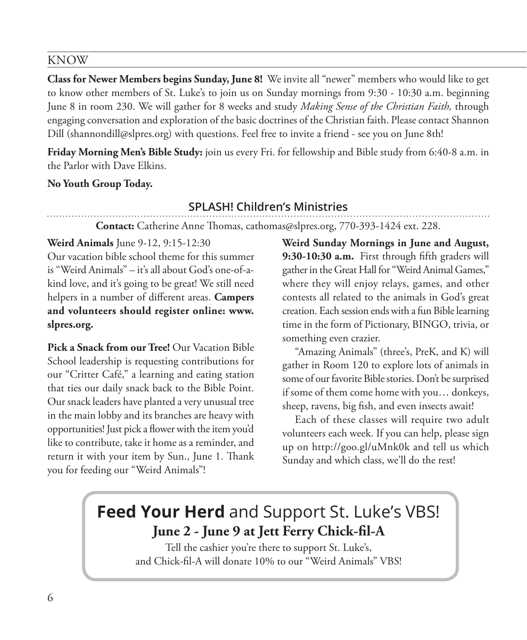#### KNOW

**Class for Newer Members begins Sunday, June 8!** We invite all "newer" members who would like to get to know other members of St. Luke's to join us on Sunday mornings from 9:30 - 10:30 a.m. beginning June 8 in room 230. We will gather for 8 weeks and study *Making Sense of the Christian Faith,* through engaging conversation and exploration of the basic doctrines of the Christian faith. Please contact Shannon Dill (shannondill@slpres.org) with questions. Feel free to invite a friend - see you on June 8th!

**Friday Morning Men's Bible Study:** join us every Fri. for fellowship and Bible study from 6:40-8 a.m. in the Parlor with Dave Elkins.

#### **No Youth Group Today.**

#### **SPLASH! Children's Ministries**

**Contact:** Catherine Anne Thomas, cathomas@slpres.org, 770-393-1424 ext. 228.

#### **Weird Animals** June 9-12, 9:15-12:30

Our vacation bible school theme for this summer is "Weird Animals" – it's all about God's one-of-akind love, and it's going to be great! We still need helpers in a number of different areas. **Campers and volunteers should register online: www. slpres.org.**

**Pick a Snack from our Tree!** Our Vacation Bible School leadership is requesting contributions for our "Critter Café," a learning and eating station that ties our daily snack back to the Bible Point. Our snack leaders have planted a very unusual tree in the main lobby and its branches are heavy with opportunities! Just pick a flower with the item you'd like to contribute, take it home as a reminder, and return it with your item by Sun., June 1. Thank you for feeding our "Weird Animals"!

**Weird Sunday Mornings in June and August, 9:30-10:30 a.m.** First through fifth graders will gather in the Great Hall for "Weird Animal Games," where they will enjoy relays, games, and other contests all related to the animals in God's great creation. Each session ends with a fun Bible learning time in the form of Pictionary, BINGO, trivia, or something even crazier.

"Amazing Animals" (three's, PreK, and K) will gather in Room 120 to explore lots of animals in some of our favorite Bible stories. Don't be surprised if some of them come home with you… donkeys, sheep, ravens, big fish, and even insects await!

Each of these classes will require two adult volunteers each week. If you can help, please sign up on http://goo.gl/uMnk0k and tell us which Sunday and which class, we'll do the rest!

# **Feed Your Herd** and Support St. Luke's VBS! **June 2 - June 9 at Jett Ferry Chick-fil-A**

Tell the cashier you're there to support St. Luke's, and Chick-fil-A will donate 10% to our "Weird Animals" VBS!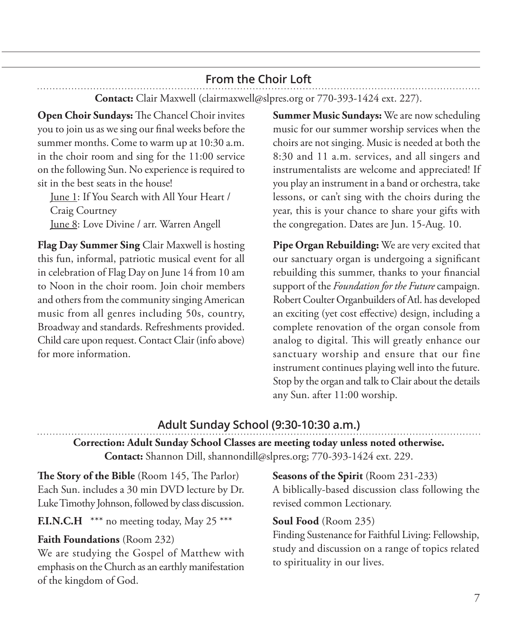# **From the Choir Loft**

**Contact:** Clair Maxwell (clairmaxwell@slpres.org or 770-393-1424 ext. 227).

**Open Choir Sundays:** The Chancel Choir invites you to join us as we sing our final weeks before the summer months. Come to warm up at 10:30 a.m. in the choir room and sing for the 11:00 service on the following Sun. No experience is required to sit in the best seats in the house!

 June 1: If You Search with All Your Heart / Craig Courtney June 8: Love Divine / arr. Warren Angell

**Flag Day Summer Sing** Clair Maxwell is hosting this fun, informal, patriotic musical event for all in celebration of Flag Day on June 14 from 10 am to Noon in the choir room. Join choir members and others from the community singing American music from all genres including 50s, country, Broadway and standards. Refreshments provided. Child care upon request. Contact Clair (info above) for more information.

**Summer Music Sundays:** We are now scheduling music for our summer worship services when the choirs are not singing. Music is needed at both the 8:30 and 11 a.m. services, and all singers and instrumentalists are welcome and appreciated! If you play an instrument in a band or orchestra, take lessons, or can't sing with the choirs during the year, this is your chance to share your gifts with the congregation. Dates are Jun. 15-Aug. 10.

**Pipe Organ Rebuilding:** We are very excited that our sanctuary organ is undergoing a significant rebuilding this summer, thanks to your financial support of the *Foundation for the Future* campaign. Robert Coulter Organbuilders of Atl. has developed an exciting (yet cost effective) design, including a complete renovation of the organ console from analog to digital. This will greatly enhance our sanctuary worship and ensure that our fine instrument continues playing well into the future. Stop by the organ and talk to Clair about the details any Sun. after 11:00 worship.

# **Adult Sunday School (9:30-10:30 a.m.)**

# **Correction: Adult Sunday School Classes are meeting today unless noted otherwise. Contact:** Shannon Dill, shannondill@slpres.org; 770-393-1424 ext. 229.

**The Story of the Bible** (Room 145, The Parlor) Each Sun. includes a 30 min DVD lecture by Dr. Luke Timothy Johnson, followed by class discussion.

# **F.I.N.C.H** \*\*\* no meeting today, May 25 \*\*\*

#### **Faith Foundations** (Room 232)

We are studying the Gospel of Matthew with emphasis on the Church as an earthly manifestation of the kingdom of God.

**Seasons of the Spirit** (Room 231-233) A biblically-based discussion class following the revised common Lectionary.

#### **Soul Food** (Room 235)

Finding Sustenance for Faithful Living: Fellowship, study and discussion on a range of topics related to spirituality in our lives.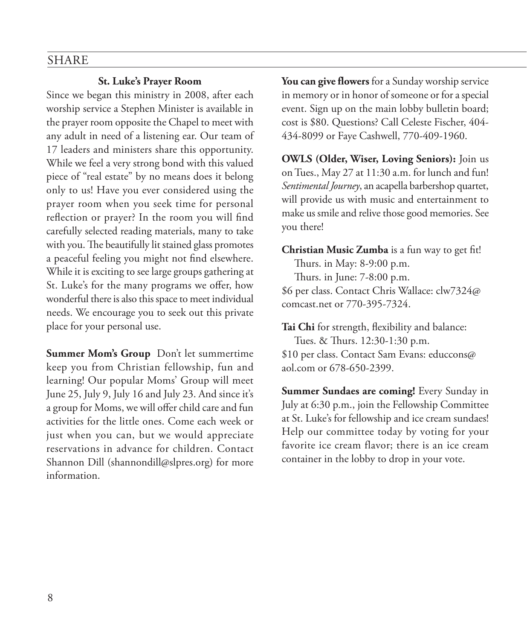#### SHARE

#### **St. Luke's Prayer Room**

Since we began this ministry in 2008, after each worship service a Stephen Minister is available in the prayer room opposite the Chapel to meet with any adult in need of a listening ear. Our team of 17 leaders and ministers share this opportunity. While we feel a very strong bond with this valued piece of "real estate" by no means does it belong only to us! Have you ever considered using the prayer room when you seek time for personal reflection or prayer? In the room you will find carefully selected reading materials, many to take with you. The beautifully lit stained glass promotes a peaceful feeling you might not find elsewhere. While it is exciting to see large groups gathering at St. Luke's for the many programs we offer, how wonderful there is also this space to meet individual needs. We encourage you to seek out this private place for your personal use.

**Summer Mom's Group** Don't let summertime keep you from Christian fellowship, fun and learning! Our popular Moms' Group will meet June 25, July 9, July 16 and July 23. And since it's a group for Moms, we will offer child care and fun activities for the little ones. Come each week or just when you can, but we would appreciate reservations in advance for children. Contact Shannon Dill (shannondill@slpres.org) for more information.

**You can give flowers** for a Sunday worship service in memory or in honor of someone or for a special event. Sign up on the main lobby bulletin board; cost is \$80. Questions? Call Celeste Fischer, 404- 434-8099 or Faye Cashwell, 770-409-1960.

**OWLS (Older, Wiser, Loving Seniors):** Join us on Tues., May 27 at 11:30 a.m. for lunch and fun! *Sentimental Journey*, an acapella barbershop quartet, will provide us with music and entertainment to make us smile and relive those good memories. See you there!

**Christian Music Zumba** is a fun way to get fit!

Thurs. in May: 8-9:00 p.m. Thurs. in June: 7-8:00 p.m. \$6 per class. Contact Chris Wallace: clw7324@ comcast.net or 770-395-7324.

**Tai Chi** for strength, flexibility and balance:

Tues. & Thurs. 12:30-1:30 p.m. \$10 per class. Contact Sam Evans: educcons@ aol.com or 678-650-2399.

**Summer Sundaes are coming!** Every Sunday in July at 6:30 p.m., join the Fellowship Committee at St. Luke's for fellowship and ice cream sundaes! Help our committee today by voting for your favorite ice cream flavor; there is an ice cream container in the lobby to drop in your vote.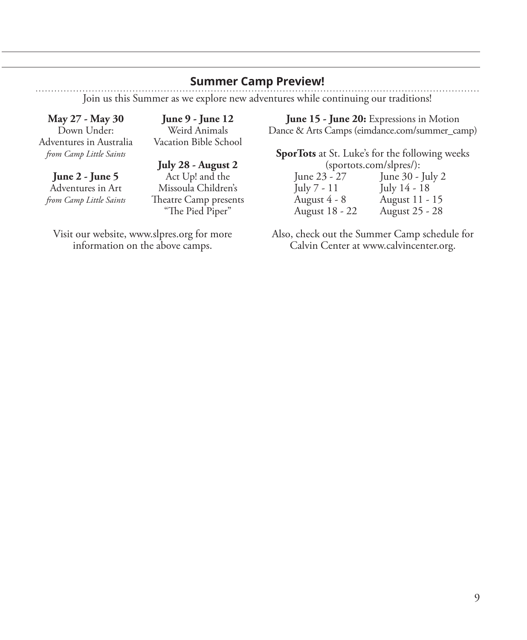#### **Summer Camp Preview!**

Join us this Summer as we explore new adventures while continuing our traditions!

**May 27 - May 30**  Down Under: Adventures in Australia *from Camp Little Saints*

**June 2 - June 5**  Adventures in Art *from Camp Little Saints*

**June 9 - June 12**  Weird Animals Vacation Bible School

**July 28 - August 2**  Act Up! and the Missoula Children's Theatre Camp presents "The Pied Piper"

Visit our website, www.slpres.org for more information on the above camps.

**June 15 - June 20:** Expressions in Motion Dance & Arts Camps (eimdance.com/summer\_camp)

**SporTots** at St. Luke's for the following weeks (sportots.com/slpres/):<br>June 23 - 27 June 30 -

June 23 - 27 June 30 - July 2<br>July 7 - 11 July 14 - 18 July 14 - 18 August 4 - 8 August 11 - 15 August 18 - 22 August 25 - 28

Also, check out the Summer Camp schedule for Calvin Center at www.calvincenter.org.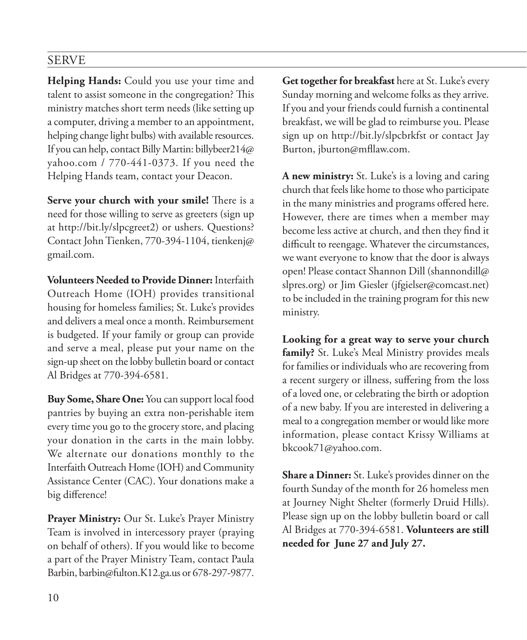# SERVE

**Helping Hands:** Could you use your time and talent to assist someone in the congregation? This ministry matches short term needs (like setting up a computer, driving a member to an appointment, helping change light bulbs) with available resources. If you can help, contact Billy Martin: billybeer214@ yahoo.com / 770-441-0373. If you need the Helping Hands team, contact your Deacon.

**Serve your church with your smile!** There is a need for those willing to serve as greeters (sign up at http://bit.ly/slpcgreet2) or ushers. Questions? Contact John Tienken, 770-394-1104, tienkenj@ gmail.com.

**Volunteers Needed to Provide Dinner:** Interfaith Outreach Home (IOH) provides transitional housing for homeless families; St. Luke's provides and delivers a meal once a month. Reimbursement is budgeted. If your family or group can provide and serve a meal, please put your name on the sign-up sheet on the lobby bulletin board or contact Al Bridges at 770-394-6581.

**Buy Some, Share One:** You can support local food pantries by buying an extra non-perishable item every time you go to the grocery store, and placing your donation in the carts in the main lobby. We alternate our donations monthly to the Interfaith Outreach Home (IOH) and Community Assistance Center (CAC). Your donations make a big difference!

**Prayer Ministry:** Our St. Luke's Prayer Ministry Team is involved in intercessory prayer (praying on behalf of others). If you would like to become a part of the Prayer Ministry Team, contact Paula Barbin, barbin@fulton.K12.ga.us or 678-297-9877.

**Get together for breakfast** here at St. Luke's every Sunday morning and welcome folks as they arrive. If you and your friends could furnish a continental breakfast, we will be glad to reimburse you. Please sign up on http://bit.ly/slpcbrkfst or contact Jay Burton, jburton@mfllaw.com.

**A new ministry:** St. Luke's is a loving and caring church that feels like home to those who participate in the many ministries and programs offered here. However, there are times when a member may become less active at church, and then they find it difficult to reengage. Whatever the circumstances, we want everyone to know that the door is always open! Please contact Shannon Dill (shannondill@ slpres.org) or Jim Giesler (jfgielser@comcast.net) to be included in the training program for this new ministry.

**Looking for a great way to serve your church family?** St. Luke's Meal Ministry provides meals for families or individuals who are recovering from a recent surgery or illness, suffering from the loss of a loved one, or celebrating the birth or adoption of a new baby. If you are interested in delivering a meal to a congregation member or would like more information, please contact Krissy Williams at bkcook71@yahoo.com.

**Share a Dinner:** St. Luke's provides dinner on the fourth Sunday of the month for 26 homeless men at Journey Night Shelter (formerly Druid Hills). Please sign up on the lobby bulletin board or call Al Bridges at 770-394-6581. **Volunteers are still needed for June 27 and July 27.**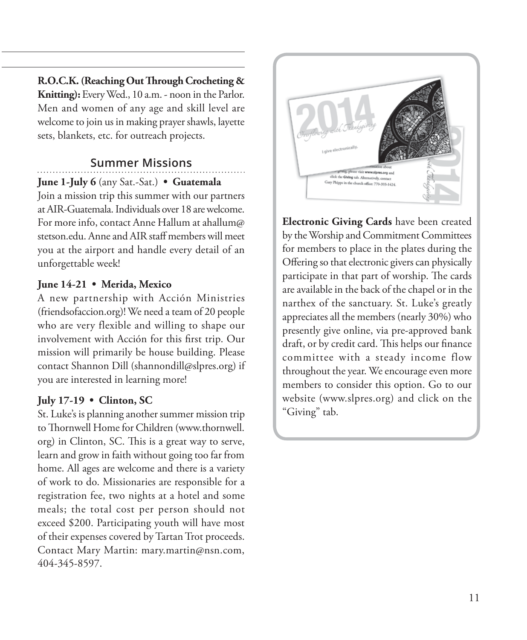**R.O.C.K. (Reaching Out Through Crocheting & Knitting):** Every Wed., 10 a.m. - noon in the Parlor. Men and women of any age and skill level are welcome to join us in making prayer shawls, layette sets, blankets, etc. for outreach projects.

# **Summer Missions**

**June 1-July 6** (any Sat.-Sat.) **• Guatemala**

Join a mission trip this summer with our partners at AIR-Guatemala. Individuals over 18 are welcome. For more info, contact Anne Hallum at ahallum@ stetson.edu. Anne and AIR staff members will meet you at the airport and handle every detail of an unforgettable week!

### **June 14-21 • Merida, Mexico**

A new partnership with Acción Ministries (friendsofaccion.org)! We need a team of 20 people who are very flexible and willing to shape our involvement with Acción for this first trip. Our mission will primarily be house building. Please contact Shannon Dill (shannondill@slpres.org) if you are interested in learning more!

# **July 17-19 • Clinton, SC**

St. Luke's is planning another summer mission trip to Thornwell Home for Children (www.thornwell. org) in Clinton, SC. This is a great way to serve, learn and grow in faith without going too far from home. All ages are welcome and there is a variety of work to do. Missionaries are responsible for a registration fee, two nights at a hotel and some meals; the total cost per person should not exceed \$200. Participating youth will have most of their expenses covered by Tartan Trot proceeds. Contact Mary Martin: mary.martin@nsn.com, 404-345-8597.



**Electronic Giving Cards** have been created by the Worship and Commitment Committees for members to place in the plates during the Offering so that electronic givers can physically participate in that part of worship. The cards are available in the back of the chapel or in the narthex of the sanctuary. St. Luke's greatly appreciates all the members (nearly 30%) who presently give online, via pre-approved bank draft, or by credit card. This helps our finance committee with a steady income flow throughout the year. We encourage even more members to consider this option. Go to our website (www.slpres.org) and click on the "Giving" tab.